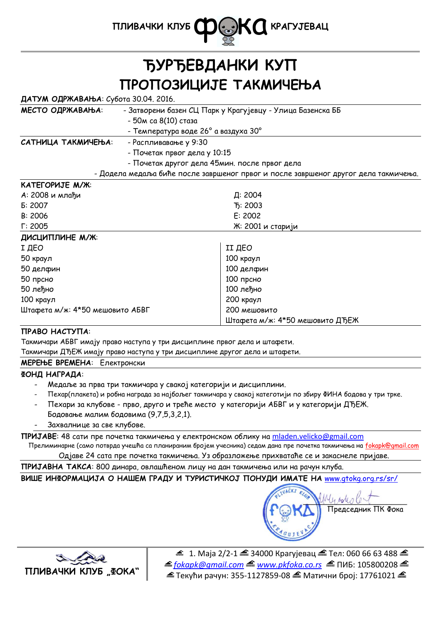

# **ЂУРЂЕВДАНКИ КУП ПРОПОЗИЦИЈЕ ТАКМИЧЕЊА**

| ДАТУМ ОДРЖАВАЊА: Субота 30.04. 2016. |  |  |
|--------------------------------------|--|--|
|                                      |  |  |

| МЕСТО ОДРЖАВАЊА:   | - Затворени базен СЦ Парк у Крагујевцу - Улица Базенска ББ                          |  |
|--------------------|-------------------------------------------------------------------------------------|--|
|                    | - 50м са 8(10) стаза                                                                |  |
|                    | - Температура воде 26° а ваздуха 30°                                                |  |
| САТНИЦА ТАКМИЧЕЊА: | - Распливавање у 9:30                                                               |  |
|                    | - Почетак првог дела у 10:15                                                        |  |
|                    | - Почетак другог дела 45мин. после првог дела                                       |  |
|                    | - Додела медаља биће после завршеног првог и после завршеног другог дела такмичења. |  |

#### **КАТЕГОРИЈЕ М/Ж**:

| А: 2008 и млађи                 | Д: 2004                         |
|---------------------------------|---------------------------------|
| E: 2007                         | T <sub>5</sub> : 2003           |
| B: 2006                         | E: 2002                         |
| $\Gamma$ : 2005                 | Ж: 2001 и старији               |
| ДИСЦИПЛИНЕ М/Ж:                 |                                 |
| І ДЕО                           | <b>II ДЕО</b>                   |
| 50 краул                        | 100 краул                       |
| 50 делфин                       | 100 делфин                      |
| 50 прсно                        | 100 прсно                       |
| 50 леђно                        | 100 леђно                       |
| 100 краул                       | 200 краул                       |
| Штафета м/ж: 4*50 мешовито АБВГ | 200 мешовито                    |
|                                 | Штафета м/ж: 4*50 мешовито ДЂЕЖ |

# **ПРАВО НАСТУПА**:

Такмичари АБВГ имају право наступа у три дисциплине првог дела и штафети.

Такмичари ДЂЕЖ имају право наступа у три дисциплине другог дела и штафети.

# **МЕРЕЊЕ ВРЕМЕНА**: Електронски

# **ФОНД НАГРАДА**:

- Медаље за прва три такмичара у свакој категорији и дисциплини.
- Пехар(плакета) и робна награда за најбољег такмичара у свакој категотији по збиру ФИНА бодова у три трке.
- Пехари за клубове прво, друго и треће место у категорији АБВГ и у категорији ДЂЕЖ.
- Бодовање малим бодовима (9,7,5,3,2,1).
- Захвалнице за све клубове.

**ПРИЈАВЕ**: 48 сати пре почетка такмичења у електронском облику на mladen.velicko@gmail.com

Прелиминарне (само потврда учешћа са планираним бројем учесника) седам дана пре почетка такмичења на fokapk@gmail.com Одјаве 24 сата пре почетка такмичења. Уз образложење прихватаће се и закаснеле пријаве.

**ПРИЈАВНА ТАКСА**: 800 динара, овлашћеном лицу на дан такмичења или на рачун клуба.

**ВИШЕ ИНФОРМАЦИЈА О НАШЕМ ГРАДУ И ТУРИСТИЧКОЈ ПОНУДИ ИМАТЕ НА** www.gtokg.org.rs/sr/





 $\triangleq$  1. Маја 2/2-1  $\triangleq$  34000 Крагујевац  $\triangleq$  Тел: 060 66 63 488  $\triangleq$ *fokapk@gmail.com www.pkfoka.co.rs* ПИБ: 105800208  $\triangleq$  Текући рачун: 355-1127859-08  $\triangleq$  Матични број: 17761021  $\triangleq$